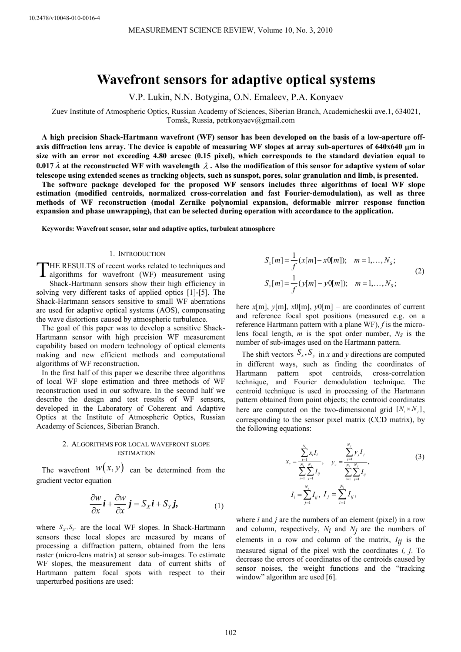# **Wavefront sensors for adaptive optical systems**

V.P. Lukin, N.N. Botygina, O.N. Emaleev, P.A. Konyaev

Zuev Institute of Atmospheric Optics, Russian Academy of Sciences, Siberian Branch, Academicheskii ave.1, 634021, Tomsk, Russia, petrkonyaev@gmail.com

**A high precision Shack-Hartmann wavefront (WF) sensor has been developed on the basis of a low-aperture offaxis diffraction lens array. The device is capable of measuring WF slopes at array sub-apertures of 640х640** μ**m in size with an error not exceeding 4.80 arcsec (0.15 pixel), which corresponds to the standard deviation equal to 0.017**λ **at the reconstructed WF with wavelength** λ **. Also the modification of this sensor for adaptive system of solar telescope using extended scenes as tracking objects, such as sunspot, pores, solar granulation and limb, is presented.** 

**The software package developed for the proposed WF sensors includes three algorithms of local WF slope estimation (modified centroids, normalized cross-correlation and fast Fourier-demodulation), as well as three methods of WF reconstruction (modal Zernike polynomial expansion, deformable mirror response function expansion and phase unwrapping), that can be selected during operation with accordance to the application.** 

**Keywords: Wavefront sensor, solar and adaptive optics, turbulent atmosphere**

#### 1. INTRODUCTION

THE RESULTS of recent works related to techniques and algorithms for wavefront (WF) measurement using algorithms for wavefront (WF) measurement using Shack-Hartmann sensors show their high efficiency in solving very different tasks of applied optics [1]-[5]. The Shack-Hartmann sensors sensitive to small WF aberrations are used for adaptive optical systems (AOS), compensating the wave distortions caused by atmospheric turbulence.

The goal of this paper was to develop a sensitive Shack-Hartmann sensor with high precision WF measurement capability based on modern technology of optical elements making and new efficient methods and computational algorithms of WF reconstruction.

In the first half of this paper we describe three algorithms of local WF slope estimation and three methods of WF reconstruction used in our software. In the second half we describe the design and test results of WF sensors, developed in the Laboratory of Coherent and Adaptive Optics at the Institute of Atmospheric Optics, Russian Academy of Sciences, Siberian Branch.

## 2. ALGORITHMS FOR LOCAL WAVEFRONT SLOPE ESTIMATION

The wavefront  $W(x, y)$  can be determined from the gradient vector equation

$$
\frac{\partial w}{\partial x}\mathbf{i} + \frac{\partial w}{\partial x}\mathbf{j} = S_x\mathbf{i} + S_y\mathbf{j}, \tag{1}
$$

where  $S_x, S_y$  are the local WF slopes. In Shack-Hartmann sensors these local slopes are measured by means of processing a diffraction pattern, obtained from the lens raster (micro-lens matrix) at sensor sub-images. To estimate WF slopes, the measurement data of current shifts of Hartmann pattern focal spots with respect to their unperturbed positions are used:

$$
S_x[m] = \frac{1}{f}(x[m] - x0[m]); \quad m = 1,..., N_s; S_y[m] = \frac{1}{f}(y[m] - y0[m]); \quad m = 1,..., N_s; \tag{2}
$$

here  $x[m]$ ,  $y[m]$ ,  $x0[m]$ ,  $y0[m]$  – are coordinates of current and reference focal spot positions (measured e.g. on a reference Hartmann pattern with a plane WF), *f* is the microlens focal length,  $m$  is the spot order number,  $N_S$  is the number of sub-images used on the Hartmann pattern.

The shift vectors  $S_x$ ,  $S_y$  in *x* and *y* directions are computed in different ways, such as finding the coordinates of Hartmann pattern spot centroids, cross-correlation technique, and Fourier demodulation technique. The centroid technique is used in processing of the Hartmann pattern obtained from point objects; the centroid coordinates here are computed on the two-dimensional grid  $[N_i \times N_j]$ , corresponding to the sensor pixel matrix (CCD matrix), by the following equations:

$$
x_c = \frac{\sum_{i=1}^{N_i} x_i I_i}{\sum_{i=1}^{N_i} \sum_{j=1}^{N_j} I_{ij}}, \quad y_c = \frac{\sum_{j=1}^{N_j} y_j I_j}{\sum_{i=1}^{N_i} \sum_{j=1}^{N_j} I_{ij}},
$$
\n
$$
I_i = \sum_{j=1}^{N_j} I_{ij}, \quad I_j = \sum_{i=1}^{N_i} I_{ij},
$$
\n(3)

where *i* and *j* are the numbers of an element (pixel) in a row and column, respectively,  $N_i$  and  $N_j$  are the numbers of elements in a row and column of the matrix,  $I_{ij}$  is the measured signal of the pixel with the coordinates *i, j*. To decrease the errors of coordinates of the centroids caused by sensor noises, the weight functions and the "tracking window" algorithm are used [6].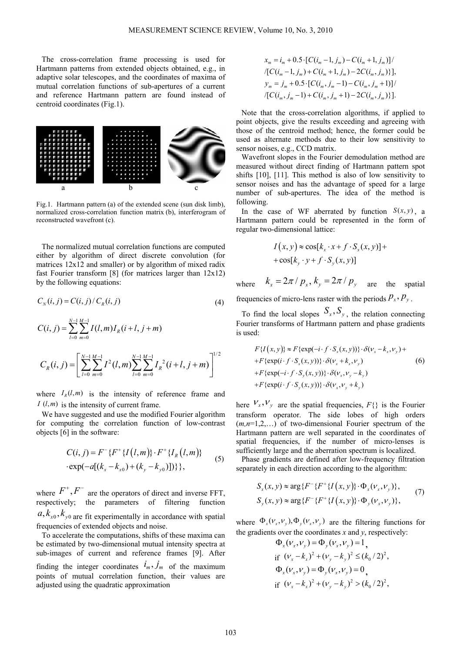The cross-correlation frame processing is used for Hartmann patterns from extended objects obtained, e.g., in adaptive solar telescopes, and the coordinates of maxima of mutual correlation functions of sub-apertures of a current and reference Hartmann pattern are found instead of centroid coordinates (Fig.1).



Fig.1. Hartmann pattern (a) of the extended scene (sun disk limb), normalized cross-correlation function matrix (b), interferogram of reconstructed wavefront (c).

The normalized mutual correlation functions are computed either by algorithm of direct discrete convolution (for matrices 12x12 and smaller) or by algorithm of mixed radix fast Fourier transform [8] (for matrices larger than 12x12) by the following equations:

$$
C_N(i,j) = C(i,j) / C_R(i,j)
$$
\n<sup>(4)</sup>

$$
C(i, j) = \sum_{l=0}^{N-1} \sum_{m=0}^{M-1} I(l, m) I_R(i+l, j+m)
$$
  

$$
C_R(i, j) = \left[ \sum_{l=0}^{N-1} \sum_{m=0}^{M-1} I^2(l, m) \sum_{l=0}^{N-1} \sum_{m=0}^{M-1} I_R^2(i+l, j+m) \right]^{1/2}
$$

where  $I_R(l, m)$  is the intensity of reference frame and  $I(l,m)$  is the intensity of current frame.

We have suggested and use the modified Fourier algorithm for computing the correlation function of low-contrast objects [6] in the software:

$$
C(i, j) = F^{-} \{ F^{+} \{ I(l, m) \} \cdot F^{+} \{ I_{R}(l, m) \} \}
$$
  
 
$$
\cdot \exp(-a[(k_{x} - k_{x0}) + (k_{y} - k_{y0})]) \} \},
$$
 (5)

where  $F^+$ ,  $F^-$  are the operators of direct and inverse FFT, respectively; the parameters of filtering function  $a, k_{x0}, k_{y0}$  are fit experimentally in accordance with spatial frequencies of extended objects and noise.

To accelerate the computations, shifts of these maxima can be estimated by two-dimensional mutual intensity spectra at sub-images of current and reference frames [9]. After finding the integer coordinates  $\hat{i}_m$ ,  $\hat{j}_m$  of the maximum points of mutual correlation function, their values are adjusted using the quadratic approximation

$$
x_m = i_m + 0.5 \cdot [C(i_m - 1, j_m) - C(i_m + 1, j_m)] /
$$
  
\n
$$
\langle [C(i_m - 1, j_m) + C(i_m + 1, j_m) - 2C(i_m, j_m)] \rangle
$$
  
\n
$$
y_m = j_m + 0.5 \cdot [C(i_m, j_m - 1) - C(i_m, j_m + 1)] /
$$
  
\n
$$
\langle [C(i_m, j_m - 1) + C(i_m, j_m + 1) - 2C(i_m, j_m)] \rangle
$$

Note that the cross-correlation algorithms, if applied to point objects, give the results exceeding and agreeing with those of the centroid method; hence, the former could be used as alternate methods due to their low sensitivity to sensor noises, e.g., CCD matrix.

Wavefront slopes in the Fourier demodulation method are measured without direct finding of Hartmann pattern spot shifts [10], [11]. This method is also of low sensitivity to sensor noises and has the advantage of speed for a large number of sub-apertures. The idea of the method is following.

In the case of WF aberrated by function  $S(x, y)$ , a Hartmann pattern could be represented in the form of regular two-dimensional lattice:

$$
I(x, y) \approx \cos[k_x \cdot x + f \cdot S_x(x, y)] +
$$
  
+ 
$$
\cos[k_y \cdot y + f \cdot S_y(x, y)]
$$

where  $k_x = 2\pi / p_x$ ,  $k_y = 2\pi / p_y$  are the spatial

frequencies of micro-lens raster with the periods  $P_x$ ,  $P_y$ .

To find the local slopes  $S_x$ ,  $S_y$ , the relation connecting Fourier transforms of Hartmann pattern and phase gradients is used:

$$
F\{I(x, y)\} \approx F\{\exp(-i \cdot f \cdot S_x(x, y))\} \cdot \delta(\nu_x - k_x, \nu_y) +
$$
  
+ 
$$
F\{\exp(i \cdot f \cdot S_x(x, y))\} \cdot \delta(\nu_x + k_x, \nu_y)
$$
  
+ 
$$
F\{\exp(-i \cdot f \cdot S_y(x, y))\} \cdot \delta(\nu_x, \nu_y - k_y)
$$
  
+ 
$$
F\{\exp(i \cdot f \cdot S_y(x, y))\} \cdot \delta(\nu_x, \nu_y + k_y)
$$
 (6)

here  $V_x$ ,  $V_y$  are the spatial frequencies,  $F\{\}$  is the Fourier transform operator. The side lobes of high orders (*m,n*=1,2,…) of two-dimensional Fourier spectrum of the Hartmann pattern are well separated in the coordinates of spatial frequencies, if the number of micro-lenses is sufficiently large and the aberration spectrum is localized.

Phase gradients are defined after low-frequency filtration separately in each direction according to the algorithm:

$$
S_x(x, y) \approx \arg \{ F^{-} \{ F^{+} \{ I(x, y) \} \cdot \Phi_x(\nu_x, \nu_y) \},
$$
  
\n
$$
S_y(x, y) \approx \arg \{ F^{-} \{ F^{+} \{ I(x, y) \} \cdot \Phi_y(\nu_x, \nu_y) \},
$$
 (7)

where  $\Phi_x(V_x, V_y), \Phi_y(V_x, V_y)$  are the filtering functions for the gradients over the coordinates  $x$  and  $y$ , respectively:

$$
\Phi_x(\nu_x, \nu_y) = \Phi_y(\nu_x, \nu_y) = 1,\nif  $(\nu_x - k_x)^2 + (\nu_y - k_y)^2 \le (k_0/2)^2$ ,  
\n $\Phi_x(\nu_x, \nu_y) = \Phi_y(\nu_x, \nu_y) = 0$ ,  
\nif  $(\nu_x - k_x)^2 + (\nu_y - k_y)^2 > (k_0/2)^2$ ,
$$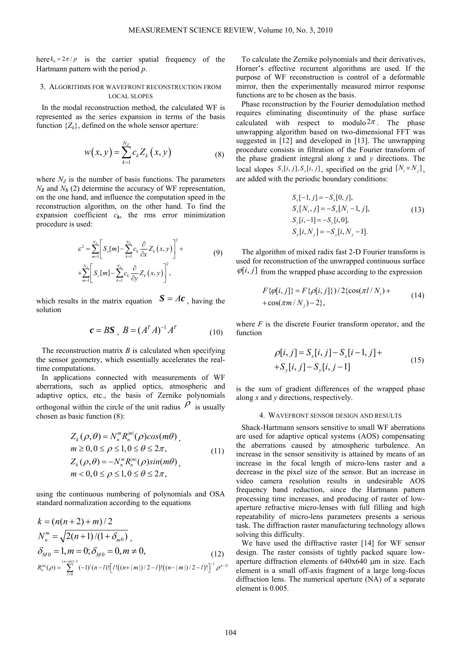here  $k_0 = 2\pi/p$  is the carrier spatial frequency of the Hartmann pattern with the period *p*.

### 3. ALGORITHMS FOR WAVEFRONT RECONSTRUCTION FROM LOCAL SLOPES

In the modal reconstruction method, the calculated WF is represented as the series expansion in terms of the basis function  $\{Z_k\}$ , defined on the whole sensor aperture:

$$
w(x, y) = \sum_{k=1}^{N_Z} c_k Z_k(x, y)
$$
 (8)

where  $N_Z$  is the number of basis functions. The parameters *NZ* and *NS* (2) determine the accuracy of WF representation, on the one hand, and influence the computation speed in the reconstruction algorithm, on the other hand. To find the expansion coefficient  $c_k$ , the rms error minimization procedure is used:

$$
\varepsilon^{2} = \sum_{m=1}^{N_{S}} \left[ S_{x}[m] - \sum_{k=1}^{N_{Z}} c_{k} \frac{\partial}{\partial x} Z_{k}(x, y) \right]^{2} +
$$
  
+
$$
\sum_{m=1}^{N_{S}} \left[ S_{y}[m] - \sum_{k=1}^{N_{Z}} c_{k} \frac{\partial}{\partial y} Z_{k}(x, y) \right]^{2},
$$
 (9)

which results in the matrix equation  $S = Ac$ , having the solution

$$
\boldsymbol{c} = \boldsymbol{B}\boldsymbol{S} \ , \ \boldsymbol{B} = (\boldsymbol{A}^T\boldsymbol{A})^{-1}\boldsymbol{A}^T \tag{10}
$$

The reconstruction matrix *B* is calculated when specifying the sensor geometry, which essentially accelerates the realtime computations.

In applications connected with measurements of WF aberrations, such as applied optics, atmospheric and adaptive optics, etc., the basis of Zernike polynomials orthogonal within the circle of the unit radius  $\rho$  is usually chosen as basic function (8):

$$
Z_{k}(\rho,\theta) = N_{n}^{m} R_{n}^{|m|}(\rho) cos(m\theta),
$$
  
\n
$$
m \ge 0, 0 \le \rho \le 1, 0 \le \theta \le 2\pi,
$$
  
\n
$$
Z_{k}(\rho,\theta) = -N_{n}^{m} R_{n}^{|m|}(\rho) sin(m\theta),
$$
  
\n
$$
m < 0, 0 \le \rho \le 1, 0 \le \theta \le 2\pi,
$$
\n
$$
(11)
$$

using the continuous numbering of polynomials and OSA standard normalization according to the equations

$$
k = (n(n+2) + m)/2
$$
  
\n
$$
N_n^m = \sqrt{2(n+1)/(1+\delta_{m0})}
$$
,  
\n
$$
\delta_{M0} = 1, m = 0; \delta_{M0} = 0, m \neq 0,
$$
\n
$$
R_n^{|m|}(\rho) = \sum_{l=0}^{(n-|m|)/2} (-1)^l (n-l)! [l!((n+|m|)/2-l)!((n-|m|)/2-l)!]^{-1} \rho^{n-2l}
$$

To calculate the Zernike polynomials and their derivatives, Horner's effective recurrent algorithms are used. If the purpose of WF reconstruction is control of a deformable mirror, then the experimentally measured mirror response functions are to be chosen as the basis.

Phase reconstruction by the Fourier demodulation method requires eliminating discontinuity of the phase surface calculated with respect to modulo  $2\pi$ . The phase unwrapping algorithm based on two-dimensional FFT was suggested in [12] and developed in [13]. The unwrapping procedure consists in filtration of the Fourier transform of the phase gradient integral along *x* and *y* directions. The local slopes  $S_x[i, j], S_y[i, j]$ , specified on the grid  $[N_i \times N_j]$ , are added with the periodic boundary conditions:

$$
S_x[-1, j] = -S_x[0, j],
$$
  
\n
$$
S_x[N_i, j] = -S_x[N_i - 1, j],
$$
  
\n
$$
S_y[i, -1] = -S_y[i, 0],
$$
  
\n
$$
S_y[i, N_j] = -S_y[i, N_j - 1].
$$
\n(13)

The algorithm of mixed radix fast 2-D Fourier transform is used for reconstruction of the unwrapped continuous surface  $\varphi[i, j]$  from the wrapped phase according to the expression

$$
F\{\varphi[i,j]\} = F\{\rho[i,j]\}\frac{2\{\cos(\pi l/N_i) + \cos(\pi m/N_j) - 2\}}{2\}
$$
\n(14)

where *F* is the discrete Fourier transform operator, and the function

$$
\rho[i, j] = S_x[i, j] - S_x[i-1, j] ++S_y[i, j] - S_y[i, j-1]
$$
\n(15)

is the sum of gradient differences of the wrapped phase along *x* and *y* directions, respectively.

#### 4. WAVEFRONT SENSOR DESIGN AND RESULTS

Shack-Hartmann sensors sensitive to small WF aberrations are used for adaptive optical systems (AOS) compensating the aberrations caused by atmospheric turbulence. An increase in the sensor sensitivity is attained by means of an increase in the focal length of micro-lens raster and a decrease in the pixel size of the sensor. But an increase in video camera resolution results in undesirable AOS frequency band reduction, since the Hartmann pattern processing time increases, and producing of raster of lowaperture refractive micro-lenses with full filling and high repeatability of micro-lens parameters presents a serious task. The diffraction raster manufacturing technology allows solving this difficulty.

We have used the diffractive raster [14] for WF sensor design. The raster consists of tightly packed square lowaperture diffraction elements of 640х640 μm in size. Each element is a small off-axis fragment of a large long-focus diffraction lens. The numerical aperture (NA) of a separate element is 0.005.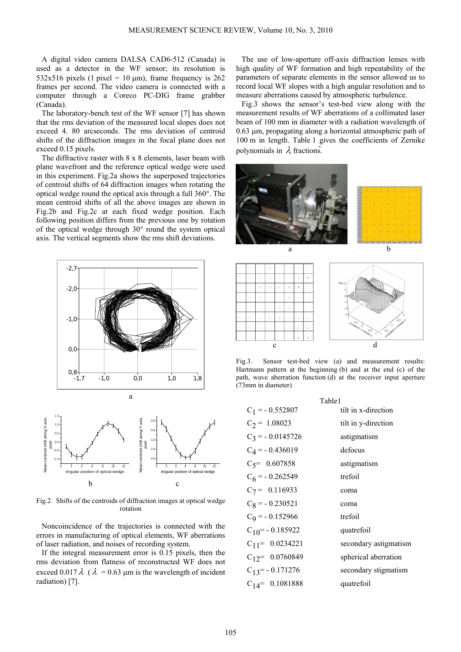A digital video camera DALSA CAD6-512 (Canada) is used as a detector in the WF sensor; its resolution is 532x516 pixels (1 pixel = 10  $\mu$ m), frame frequency is 262 frames per second. The video camera is connected with a computer through a Coreco PC-DIG frame grabber (Canada).

The laboratory-bench test of the WF sensor [7] has shown that the rms deviation of the measured local slopes does not exceed 4. 80 arcseconds. The rms deviation of centroid shifts of the diffraction images in the focal plane does not exceed 0.15 pixels.

The diffractive raster with 8 x 8 elements, laser beam with plane wavefront and the reference optical wedge were used in this experiment. Fig.2a shows the superposed trajectories of centroid shifts of 64 diffraction images when rotating the optical wedge round the optical axis through a full 360°. The mean centroid shifts of all the above images are shown in Fig.2b and Fig.2c at each fixed wedge position. Each following position differs from the previous one by rotation of the optical wedge through 30° round the system optical axis. The vertical segments show the rms shift deviations.





Fig.2. Shifts of the centroids of diffraction images at optical wedge rotation

Noncoincidence of the trajectories is connected with the errors in manufacturing of optical elements, WF aberrations of laser radiation, and noises of recording system.

If the integral measurement error is 0.15 pixels, then the rms deviation from flatness of reconstructed WF does not exceed 0.017  $\lambda$  ( $\lambda$  = 0.63 µm is the wavelength of incident radiation) [7].

The use of low-aperture off-axis diffraction lenses with high quality of WF formation and high repeatability of the parameters of separate elements in the sensor allowed us to record local WF slopes with a high angular resolution and to measure aberrations caused by atmospheric turbulence.

Fig.3 shows the sensor's test-bed view along with the measurement results of WF aberrations of a collimated laser beam of 100 mm in diameter with a radiation wavelength of 0.63 μm, propagating along a horizontal atmospheric path of 100 m in length. Table 1 gives the coefficients of Zernike polynomials in  $\lambda$  fractions.





Fig.3. Sensor test-bed view (a) and measurement results: Hartmann pattern at the beginning (b) and at the end (c) of the path, wave aberration function (d) at the receiver input aperture (73mm in diameter)

| Table1               |                       |
|----------------------|-----------------------|
| $C_1 = -0.552807$    | tilt in x-direction   |
| $C_2$ = 1.08023      | tilt in y-direction   |
| $C_3$ = -0.0145726   | astigmatism           |
| $C_4$ = -0.436019    | defocus               |
| $C_5$ = 0.607858     | astigmatism           |
| $C_6$ = -0.262549    | trefoil               |
| $C_7$ = 0.116933     | coma                  |
| $C_8$ = -0.230521    | coma                  |
| $C_9$ = -0.152966    | trefoil               |
| $C_{10}$ = -0.185922 | quatrefoil            |
| $C_{11} = 0.0234221$ | secondary astigmatism |
| $C_{12} = 0.0760849$ | spherical aberration  |
| $C_{13} = -0.171276$ | secondary stigmatism  |
| $C_{14} = 0.1081888$ | quatrefoil            |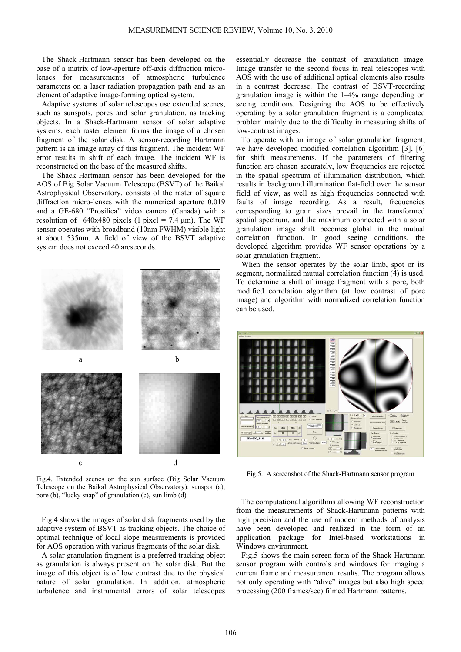The Shack-Hartmann sensor has been developed on the base of a matrix of low-aperture off-axis diffraction microlenses for measurements of atmospheric turbulence parameters on a laser radiation propagation path and as an element of adaptive image-forming optical system.

Adaptive systems of solar telescopes use extended scenes, such as sunspots, pores and solar granulation, as tracking objects. In a Shack-Hartmann sensor of solar adaptive systems, each raster element forms the image of a chosen fragment of the solar disk. A sensor-recording Hartmann pattern is an image array of this fragment. The incident WF error results in shift of each image. The incident WF is reconstructed on the base of the measured shifts.

The Shack-Hartmann sensor has been developed for the AOS of Big Solar Vacuum Telescope (BSVT) of the Baikal Astrophysical Observatory, consists of the raster of square diffraction micro-lenses with the numerical aperture 0.019 and a GE-680 "Prosilica" video camera (Canada) with a resolution of 640x480 pixels (1 pixel = 7.4  $\mu$ m). The WF sensor operates with broadband (10nm FWHM) visible light at about 535nm. A field of view of the BSVT adaptive system does not exceed 40 arcseconds.



Fig.4. Extended scenes on the sun surface (Big Solar Vacuum Telescope on the Baikal Astrophysical Observatory): sunspot (а), pore (b), "lucky snap" of granulation (c), sun limb (d)

Fig.4 shows the images of solar disk fragments used by the adaptive system of BSVT as tracking objects. The choice of optimal technique of local slope measurements is provided for AOS operation with various fragments of the solar disk.

A solar granulation fragment is a preferred tracking object as granulation is always present on the solar disk. But the image of this object is of low contrast due to the physical nature of solar granulation. In addition, atmospheric turbulence and instrumental errors of solar telescopes

essentially decrease the contrast of granulation image. Image transfer to the second focus in real telescopes with AOS with the use of additional optical elements also results in a contrast decrease. The contrast of BSVT-recording granulation image is within the 1–4% range depending on seeing conditions. Designing the AOS to be effectively operating by a solar granulation fragment is a complicated problem mainly due to the difficulty in measuring shifts of low-contrast images.

To operate with an image of solar granulation fragment, we have developed modified correlation algorithm [3], [6] for shift measurements. If the parameters of filtering function are chosen accurately, low frequencies are rejected in the spatial spectrum of illumination distribution, which results in background illumination flat-field over the sensor field of view, as well as high frequencies connected with faults of image recording. As a result, frequencies corresponding to grain sizes prevail in the transformed spatial spectrum, and the maximum connected with a solar granulation image shift becomes global in the mutual correlation function. In good seeing conditions, the developed algorithm provides WF sensor operations by a solar granulation fragment.

When the sensor operates by the solar limb, spot or its segment, normalized mutual correlation function (4) is used. To determine a shift of image fragment with a pore, both modified correlation algorithm (at low contrast of pore image) and algorithm with normalized correlation function can be used.



Fig.5. A screenshot of the Shack-Hartmann sensor program

The computational algorithms allowing WF reconstruction from the measurements of Shack-Hartmann patterns with high precision and the use of modern methods of analysis have been developed and realized in the form of an application package for Intel-based workstations in Windows environment.

Fig.5 shows the main screen form of the Shack-Hartmann sensor program with controls and windows for imaging a current frame and measurement results. The program allows not only operating with "alive" images but also high speed processing (200 frames/sec) filmed Hartmann patterns.